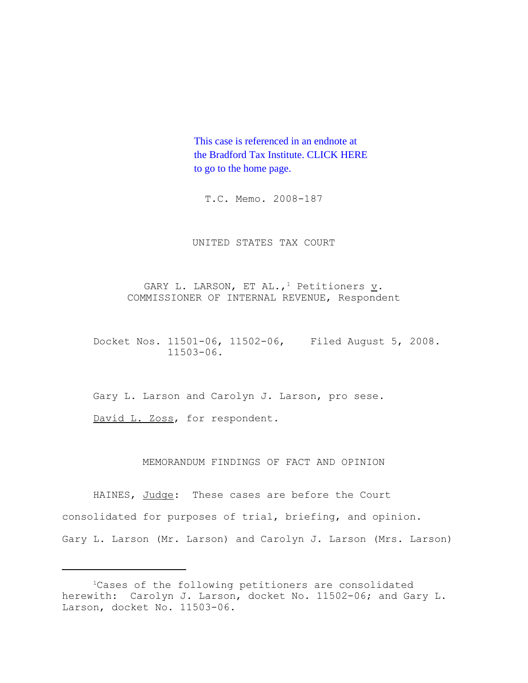This case is referenced in an endnote at [the Bradford Tax Institute. CLICK HERE](http://www.bradfordtaxinstitute.com/) to go to the home page.

T.C. Memo. 2008-187

UNITED STATES TAX COURT

GARY L. LARSON, ET AL.,<sup>1</sup> Petitioners  $\underline{v}$ . COMMISSIONER OF INTERNAL REVENUE, Respondent

Docket Nos. 11501-06, 11502-06, Filed August 5, 2008. 11503-06.

Gary L. Larson and Carolyn J. Larson, pro sese.

David L. Zoss, for respondent.

MEMORANDUM FINDINGS OF FACT AND OPINION

HAINES, Judge: These cases are before the Court consolidated for purposes of trial, briefing, and opinion. Gary L. Larson (Mr. Larson) and Carolyn J. Larson (Mrs. Larson)

<sup>&</sup>lt;sup>1</sup>Cases of the following petitioners are consolidated herewith: Carolyn J. Larson, docket No. 11502-06; and Gary L. Larson, docket No. 11503-06.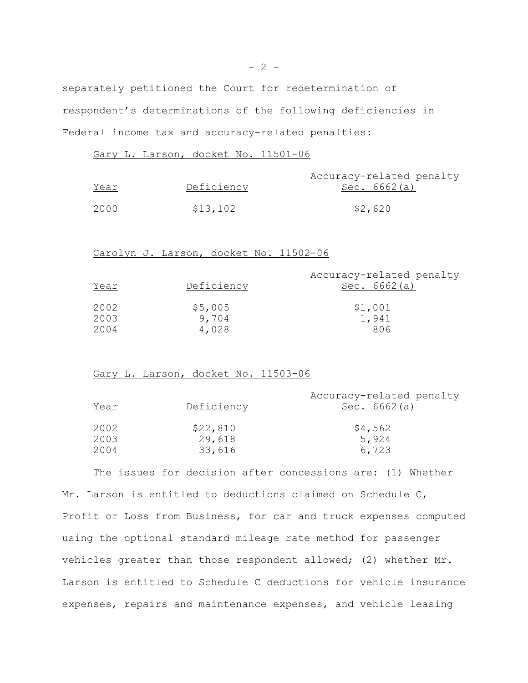separately petitioned the Court for redetermination of respondent's determinations of the following deficiencies in Federal income tax and accuracy-related penalties:

Gary L. Larson, docket No. 11501-06

| <u>Year</u> | Deficiency | Accuracy-related penalty<br>Sec. 6662(a) |
|-------------|------------|------------------------------------------|
| 2000        | \$13,102   | \$2,620                                  |

Carolyn J. Larson, docket No. 11502-06

| Year | Deficiency | Accuracy-related penalty<br>Sec. $6662(a)$ |
|------|------------|--------------------------------------------|
| 2002 | \$5,005    | \$1,001                                    |
| 2003 | 9,704      | 1,941                                      |
| 2004 | 4,028      | 806                                        |

Gary L. Larson, docket No. 11503-06

| Year | Deficiency | Accuracy-related penalty<br>Sec. $6662(a)$ |
|------|------------|--------------------------------------------|
| 2002 | \$22,810   | \$4,562                                    |
| 2003 | 29,618     | 5,924                                      |
| 2004 | 33,616     | 6,723                                      |

The issues for decision after concessions are: (1) Whether Mr. Larson is entitled to deductions claimed on Schedule C, Profit or Loss from Business, for car and truck expenses computed using the optional standard mileage rate method for passenger vehicles greater than those respondent allowed; (2) whether Mr. Larson is entitled to Schedule C deductions for vehicle insurance expenses, repairs and maintenance expenses, and vehicle leasing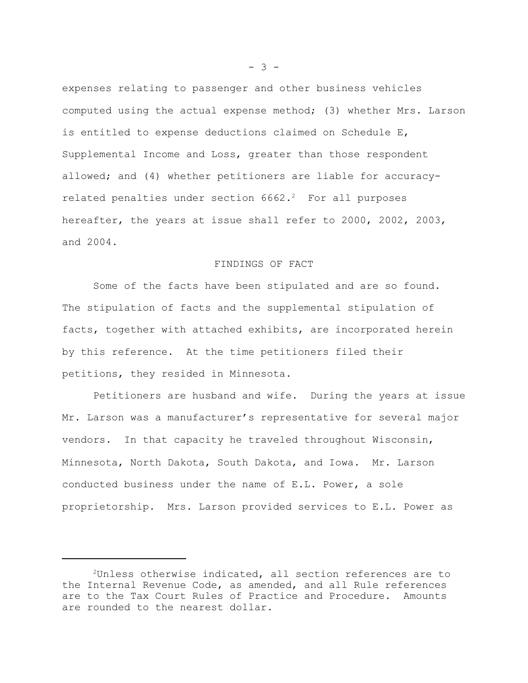expenses relating to passenger and other business vehicles computed using the actual expense method; (3) whether Mrs. Larson is entitled to expense deductions claimed on Schedule E, Supplemental Income and Loss, greater than those respondent allowed; and (4) whether petitioners are liable for accuracyrelated penalties under section  $6662.^2$  For all purposes hereafter, the years at issue shall refer to 2000, 2002, 2003, and 2004.

#### FINDINGS OF FACT

Some of the facts have been stipulated and are so found. The stipulation of facts and the supplemental stipulation of facts, together with attached exhibits, are incorporated herein by this reference. At the time petitioners filed their petitions, they resided in Minnesota.

Petitioners are husband and wife. During the years at issue Mr. Larson was a manufacturer's representative for several major vendors. In that capacity he traveled throughout Wisconsin, Minnesota, North Dakota, South Dakota, and Iowa. Mr. Larson conducted business under the name of E.L. Power, a sole proprietorship. Mrs. Larson provided services to E.L. Power as

 $- 3 -$ 

<sup>2</sup>Unless otherwise indicated, all section references are to the Internal Revenue Code, as amended, and all Rule references are to the Tax Court Rules of Practice and Procedure. Amounts are rounded to the nearest dollar.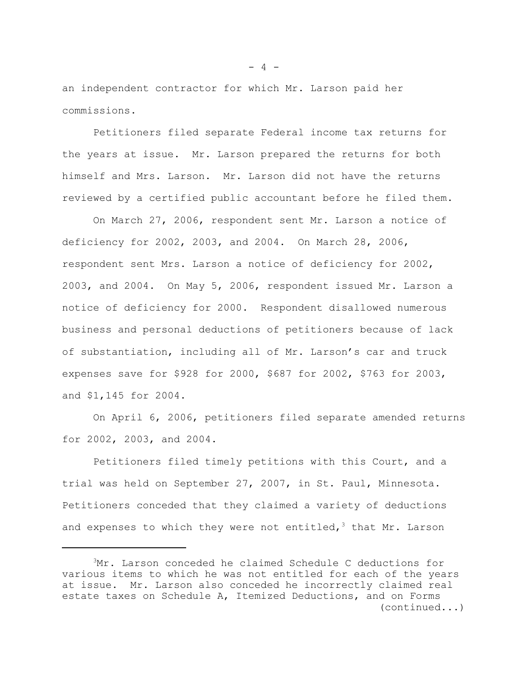an independent contractor for which Mr. Larson paid her commissions.

Petitioners filed separate Federal income tax returns for the years at issue. Mr. Larson prepared the returns for both himself and Mrs. Larson. Mr. Larson did not have the returns reviewed by a certified public accountant before he filed them.

On March 27, 2006, respondent sent Mr. Larson a notice of deficiency for 2002, 2003, and 2004. On March 28, 2006, respondent sent Mrs. Larson a notice of deficiency for 2002, 2003, and 2004. On May 5, 2006, respondent issued Mr. Larson a notice of deficiency for 2000. Respondent disallowed numerous business and personal deductions of petitioners because of lack of substantiation, including all of Mr. Larson's car and truck expenses save for \$928 for 2000, \$687 for 2002, \$763 for 2003, and \$1,145 for 2004.

On April 6, 2006, petitioners filed separate amended returns for 2002, 2003, and 2004.

Petitioners filed timely petitions with this Court, and a trial was held on September 27, 2007, in St. Paul, Minnesota. Petitioners conceded that they claimed a variety of deductions and expenses to which they were not entitled,<sup>3</sup> that Mr. Larson

<sup>3</sup>Mr. Larson conceded he claimed Schedule C deductions for various items to which he was not entitled for each of the years at issue. Mr. Larson also conceded he incorrectly claimed real estate taxes on Schedule A, Itemized Deductions, and on Forms (continued...)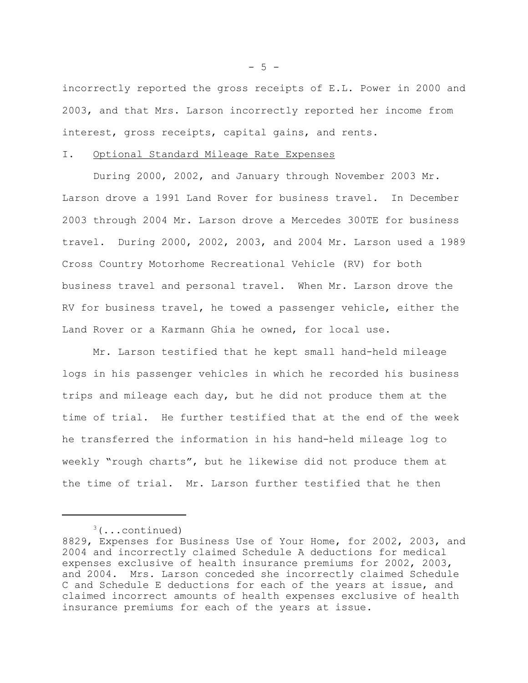incorrectly reported the gross receipts of E.L. Power in 2000 and 2003, and that Mrs. Larson incorrectly reported her income from interest, gross receipts, capital gains, and rents.

# I. Optional Standard Mileage Rate Expenses

During 2000, 2002, and January through November 2003 Mr. Larson drove a 1991 Land Rover for business travel. In December 2003 through 2004 Mr. Larson drove a Mercedes 300TE for business travel. During 2000, 2002, 2003, and 2004 Mr. Larson used a 1989 Cross Country Motorhome Recreational Vehicle (RV) for both business travel and personal travel. When Mr. Larson drove the RV for business travel, he towed a passenger vehicle, either the Land Rover or a Karmann Ghia he owned, for local use.

Mr. Larson testified that he kept small hand-held mileage logs in his passenger vehicles in which he recorded his business trips and mileage each day, but he did not produce them at the time of trial. He further testified that at the end of the week he transferred the information in his hand-held mileage log to weekly "rough charts", but he likewise did not produce them at the time of trial. Mr. Larson further testified that he then

 $-5 -$ 

 $3$ (...continued)

<sup>8829,</sup> Expenses for Business Use of Your Home, for 2002, 2003, and 2004 and incorrectly claimed Schedule A deductions for medical expenses exclusive of health insurance premiums for 2002, 2003, and 2004. Mrs. Larson conceded she incorrectly claimed Schedule C and Schedule E deductions for each of the years at issue, and claimed incorrect amounts of health expenses exclusive of health insurance premiums for each of the years at issue.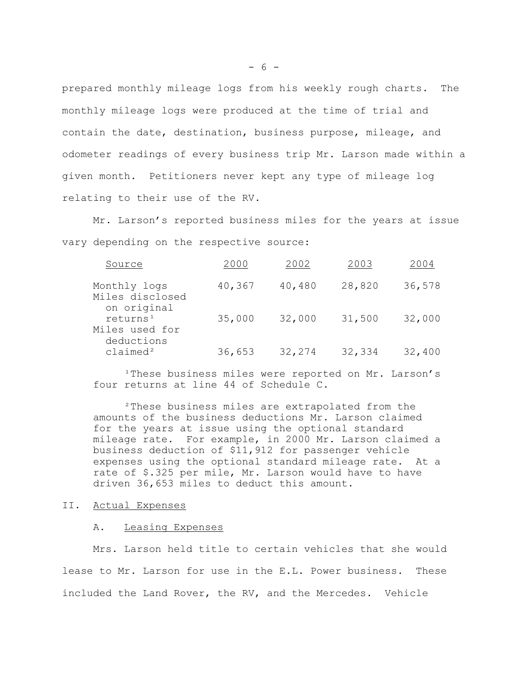prepared monthly mileage logs from his weekly rough charts. The monthly mileage logs were produced at the time of trial and contain the date, destination, business purpose, mileage, and odometer readings of every business trip Mr. Larson made within a given month. Petitioners never kept any type of mileage log relating to their use of the RV.

Mr. Larson's reported business miles for the years at issue vary depending on the respective source:

| Source                                               | 2000   | 2002   | 2003   | 2004   |
|------------------------------------------------------|--------|--------|--------|--------|
| Monthly logs<br>Miles disclosed<br>on original       | 40,367 | 40,480 | 28,820 | 36,578 |
| returns <sup>1</sup><br>Miles used for<br>deductions | 35,000 | 32,000 | 31,500 | 32,000 |
| claimed <sup>2</sup>                                 | 36,653 | 32,274 | 32,334 | 32,400 |

<sup>1</sup>These business miles were reported on Mr. Larson's four returns at line 44 of Schedule C.

²These business miles are extrapolated from the amounts of the business deductions Mr. Larson claimed for the years at issue using the optional standard mileage rate. For example, in 2000 Mr. Larson claimed a business deduction of \$11,912 for passenger vehicle expenses using the optional standard mileage rate. At a rate of \$.325 per mile, Mr. Larson would have to have driven 36,653 miles to deduct this amount.

#### II. Actual Expenses

#### A. Leasing Expenses

Mrs. Larson held title to certain vehicles that she would lease to Mr. Larson for use in the E.L. Power business. These included the Land Rover, the RV, and the Mercedes. Vehicle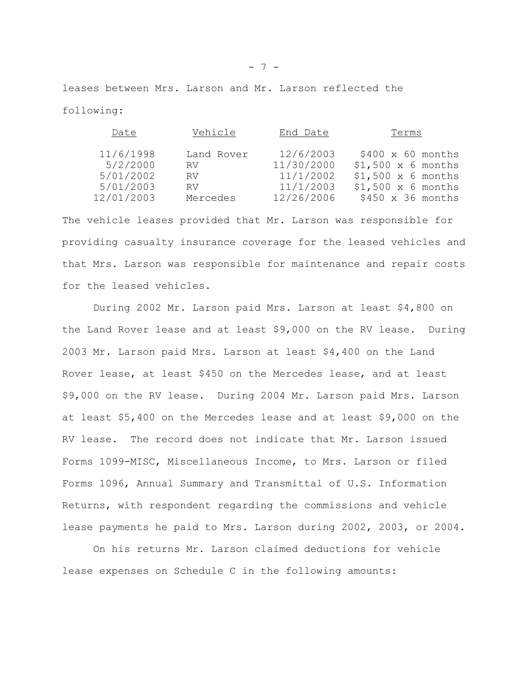leases between Mrs. Larson and Mr. Larson reflected the following:

| Date       | Vehicle    | End Date   | Terms                    |
|------------|------------|------------|--------------------------|
| 11/6/1998  | Land Rover | 12/6/2003  | $$400 \times 60$ months  |
| 5/2/2000   | RV -       | 11/30/2000 | $$1,500 \times 6$ months |
| 5/01/2002  | RV.        | 11/1/2002  | $$1,500 \times 6$ months |
| 5/01/2003  | RV.        | 11/1/2003  | $$1,500 \times 6$ months |
| 12/01/2003 | Mercedes   | 12/26/2006 | $$450 \times 36$ months  |

The vehicle leases provided that Mr. Larson was responsible for providing casualty insurance coverage for the leased vehicles and that Mrs. Larson was responsible for maintenance and repair costs for the leased vehicles.

During 2002 Mr. Larson paid Mrs. Larson at least \$4,800 on the Land Rover lease and at least \$9,000 on the RV lease. During 2003 Mr. Larson paid Mrs. Larson at least \$4,400 on the Land Rover lease, at least \$450 on the Mercedes lease, and at least \$9,000 on the RV lease. During 2004 Mr. Larson paid Mrs. Larson at least \$5,400 on the Mercedes lease and at least \$9,000 on the RV lease. The record does not indicate that Mr. Larson issued Forms 1099-MISC, Miscellaneous Income, to Mrs. Larson or filed Forms 1096, Annual Summary and Transmittal of U.S. Information Returns, with respondent regarding the commissions and vehicle lease payments he paid to Mrs. Larson during 2002, 2003, or 2004.

On his returns Mr. Larson claimed deductions for vehicle lease expenses on Schedule C in the following amounts: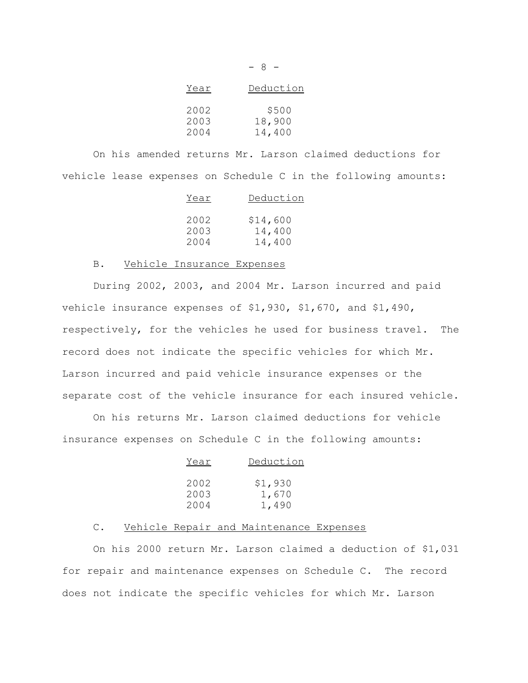| Year | Deduction |
|------|-----------|
| 2002 | \$500     |
| 2003 | 18,900    |
| 2004 | 14,400    |

- 8 -

On his amended returns Mr. Larson claimed deductions for vehicle lease expenses on Schedule C in the following amounts:

| Year | Deduction |
|------|-----------|
|      |           |
| 2002 | \$14,600  |
| 2003 | 14,400    |
| 2004 | 14,400    |

### B. Vehicle Insurance Expenses

During 2002, 2003, and 2004 Mr. Larson incurred and paid vehicle insurance expenses of \$1,930, \$1,670, and \$1,490, respectively, for the vehicles he used for business travel. The record does not indicate the specific vehicles for which Mr. Larson incurred and paid vehicle insurance expenses or the separate cost of the vehicle insurance for each insured vehicle.

On his returns Mr. Larson claimed deductions for vehicle insurance expenses on Schedule C in the following amounts:

| Year         | Deduction        |
|--------------|------------------|
| 2002<br>2003 | \$1,930<br>1,670 |
| 2004         | 1,490            |

### C. Vehicle Repair and Maintenance Expenses

On his 2000 return Mr. Larson claimed a deduction of \$1,031 for repair and maintenance expenses on Schedule C. The record does not indicate the specific vehicles for which Mr. Larson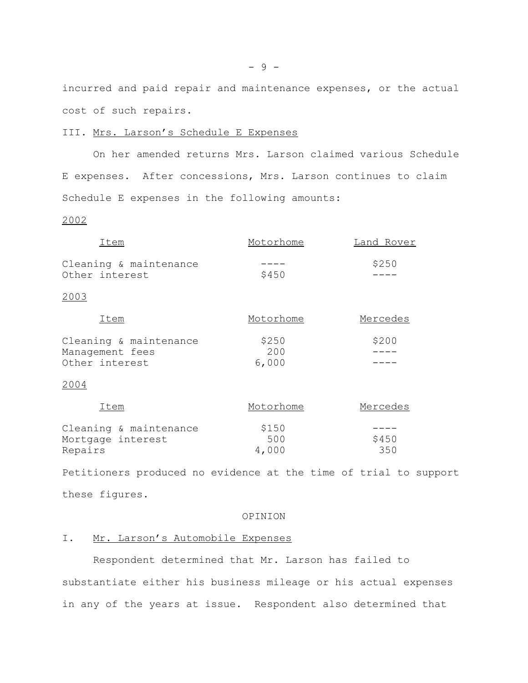incurred and paid repair and maintenance expenses, or the actual cost of such repairs.

### III. Mrs. Larson's Schedule E Expenses

On her amended returns Mrs. Larson claimed various Schedule E expenses. After concessions, Mrs. Larson continues to claim Schedule E expenses in the following amounts:

### 2002

| Item                                                        | Motorhome             | Land Rover   |
|-------------------------------------------------------------|-----------------------|--------------|
| Cleaning & maintenance<br>Other interest                    | \$450                 | \$250        |
| 2003                                                        |                       |              |
| Item                                                        | Motorhome             | Mercedes     |
| Cleaning & maintenance<br>Management fees<br>Other interest | \$250<br>200<br>6,000 | \$200        |
| 2004                                                        |                       |              |
| Item                                                        | Motorhome             | Mercedes     |
| Cleaning & maintenance<br>Mortgage interest<br>Repairs      | \$150<br>500<br>4,000 | \$450<br>350 |

Petitioners produced no evidence at the time of trial to support these figures.

#### OPINION

## I. Mr. Larson's Automobile Expenses

Respondent determined that Mr. Larson has failed to substantiate either his business mileage or his actual expenses in any of the years at issue. Respondent also determined that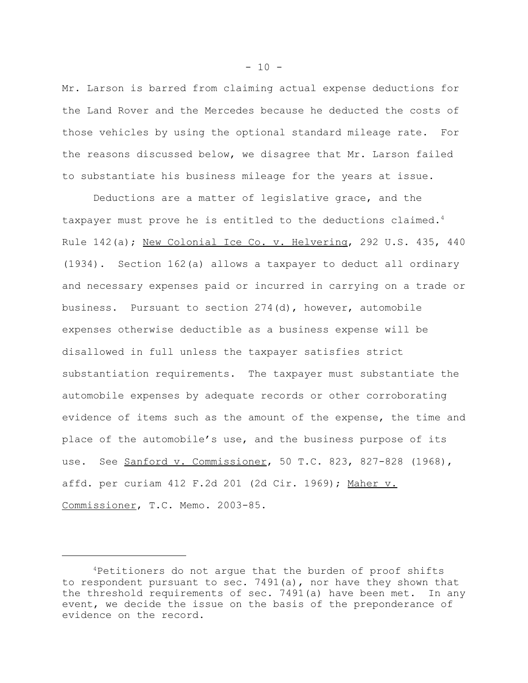Mr. Larson is barred from claiming actual expense deductions for the Land Rover and the Mercedes because he deducted the costs of those vehicles by using the optional standard mileage rate. For the reasons discussed below, we disagree that Mr. Larson failed to substantiate his business mileage for the years at issue.

Deductions are a matter of legislative grace, and the taxpayer must prove he is entitled to the deductions claimed.<sup>4</sup> Rule 142(a); New Colonial Ice Co. v. Helvering, 292 U.S. 435, 440 (1934). Section 162(a) allows a taxpayer to deduct all ordinary and necessary expenses paid or incurred in carrying on a trade or business. Pursuant to section 274(d), however, automobile expenses otherwise deductible as a business expense will be disallowed in full unless the taxpayer satisfies strict substantiation requirements. The taxpayer must substantiate the automobile expenses by adequate records or other corroborating evidence of items such as the amount of the expense, the time and place of the automobile's use, and the business purpose of its use. See Sanford v. Commissioner, 50 T.C. 823, 827-828 (1968), affd. per curiam 412 F.2d 201 (2d Cir. 1969); Maher v. Commissioner, T.C. Memo. 2003-85.

 $-10 -$ 

<sup>4</sup>Petitioners do not argue that the burden of proof shifts to respondent pursuant to sec. 7491(a), nor have they shown that the threshold requirements of sec. 7491(a) have been met. In any event, we decide the issue on the basis of the preponderance of evidence on the record.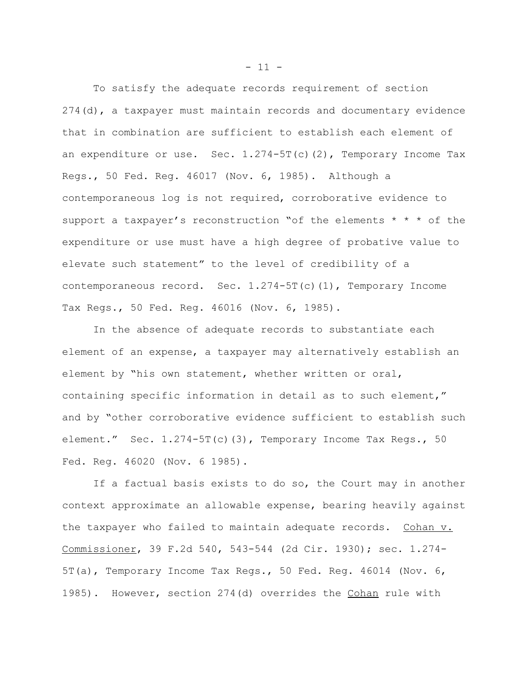To satisfy the adequate records requirement of section 274(d), a taxpayer must maintain records and documentary evidence that in combination are sufficient to establish each element of an expenditure or use. Sec.  $1.274-5T(c)(2)$ , Temporary Income Tax Regs., 50 Fed. Reg. 46017 (Nov. 6, 1985). Although a contemporaneous log is not required, corroborative evidence to support a taxpayer's reconstruction "of the elements \* \* \* of the expenditure or use must have a high degree of probative value to elevate such statement" to the level of credibility of a contemporaneous record. Sec.  $1.274-5T(c)(1)$ , Temporary Income Tax Regs., 50 Fed. Reg. 46016 (Nov. 6, 1985).

In the absence of adequate records to substantiate each element of an expense, a taxpayer may alternatively establish an element by "his own statement, whether written or oral, containing specific information in detail as to such element," and by "other corroborative evidence sufficient to establish such element." Sec.  $1.274-5T(c)(3)$ , Temporary Income Tax Regs., 50 Fed. Reg. 46020 (Nov. 6 1985).

If a factual basis exists to do so, the Court may in another context approximate an allowable expense, bearing heavily against the taxpayer who failed to maintain adequate records. Cohan v. Commissioner, 39 F.2d 540, 543-544 (2d Cir. 1930); sec. 1.274- 5T(a), Temporary Income Tax Regs., 50 Fed. Reg. 46014 (Nov. 6, 1985). However, section 274(d) overrides the Cohan rule with

 $- 11 -$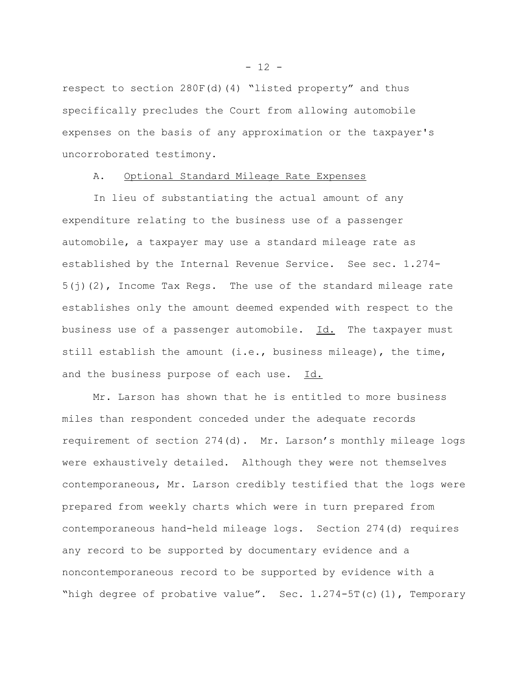respect to section 280F(d)(4) "listed property" and thus specifically precludes the Court from allowing automobile expenses on the basis of any approximation or the taxpayer's uncorroborated testimony.

## A. Optional Standard Mileage Rate Expenses

In lieu of substantiating the actual amount of any expenditure relating to the business use of a passenger automobile, a taxpayer may use a standard mileage rate as established by the Internal Revenue Service. See sec. 1.274-  $5(j)(2)$ , Income Tax Regs. The use of the standard mileage rate establishes only the amount deemed expended with respect to the business use of a passenger automobile. Id. The taxpayer must still establish the amount (i.e., business mileage), the time, and the business purpose of each use. Id.

Mr. Larson has shown that he is entitled to more business miles than respondent conceded under the adequate records requirement of section 274(d). Mr. Larson's monthly mileage logs were exhaustively detailed. Although they were not themselves contemporaneous, Mr. Larson credibly testified that the logs were prepared from weekly charts which were in turn prepared from contemporaneous hand-held mileage logs. Section 274(d) requires any record to be supported by documentary evidence and a noncontemporaneous record to be supported by evidence with a "high degree of probative value". Sec.  $1.274-5T(c)(1)$ , Temporary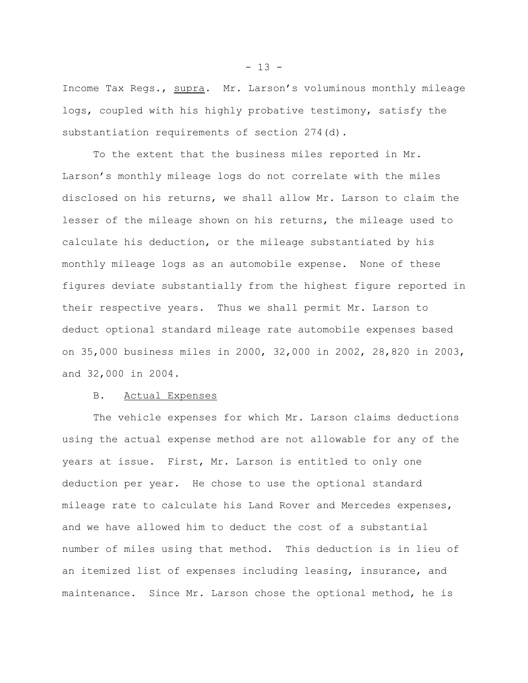Income Tax Regs., supra. Mr. Larson's voluminous monthly mileage logs, coupled with his highly probative testimony, satisfy the substantiation requirements of section 274(d).

To the extent that the business miles reported in Mr. Larson's monthly mileage logs do not correlate with the miles disclosed on his returns, we shall allow Mr. Larson to claim the lesser of the mileage shown on his returns, the mileage used to calculate his deduction, or the mileage substantiated by his monthly mileage logs as an automobile expense. None of these figures deviate substantially from the highest figure reported in their respective years. Thus we shall permit Mr. Larson to deduct optional standard mileage rate automobile expenses based on 35,000 business miles in 2000, 32,000 in 2002, 28,820 in 2003, and 32,000 in 2004.

#### B. Actual Expenses

The vehicle expenses for which Mr. Larson claims deductions using the actual expense method are not allowable for any of the years at issue. First, Mr. Larson is entitled to only one deduction per year. He chose to use the optional standard mileage rate to calculate his Land Rover and Mercedes expenses, and we have allowed him to deduct the cost of a substantial number of miles using that method. This deduction is in lieu of an itemized list of expenses including leasing, insurance, and maintenance. Since Mr. Larson chose the optional method, he is

 $- 13 -$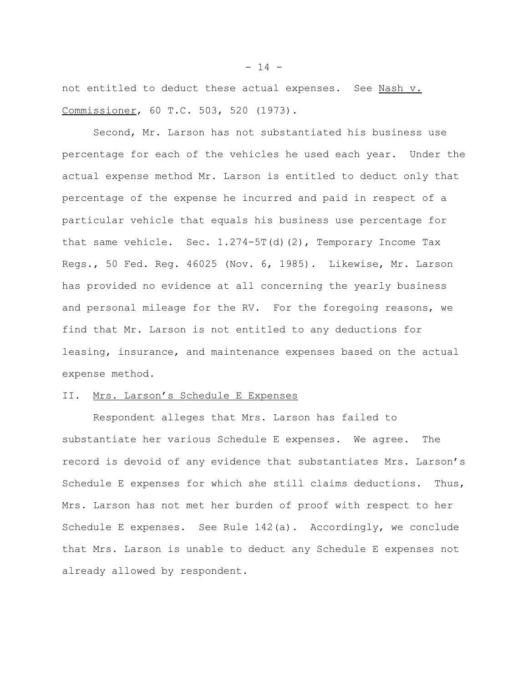not entitled to deduct these actual expenses. See Nash v. Commissioner, 60 T.C. 503, 520 (1973).

Second, Mr. Larson has not substantiated his business use percentage for each of the vehicles he used each year. Under the actual expense method Mr. Larson is entitled to deduct only that percentage of the expense he incurred and paid in respect of a particular vehicle that equals his business use percentage for that same vehicle. Sec. 1.274-5T(d)(2), Temporary Income Tax Regs., 50 Fed. Reg. 46025 (Nov. 6, 1985). Likewise, Mr. Larson has provided no evidence at all concerning the yearly business and personal mileage for the RV. For the foregoing reasons, we find that Mr. Larson is not entitled to any deductions for leasing, insurance, and maintenance expenses based on the actual expense method.

## II. Mrs. Larson's Schedule E Expenses

Respondent alleges that Mrs. Larson has failed to substantiate her various Schedule E expenses. We agree. The record is devoid of any evidence that substantiates Mrs. Larson's Schedule E expenses for which she still claims deductions. Thus, Mrs. Larson has not met her burden of proof with respect to her Schedule E expenses. See Rule 142(a). Accordingly, we conclude that Mrs. Larson is unable to deduct any Schedule E expenses not already allowed by respondent.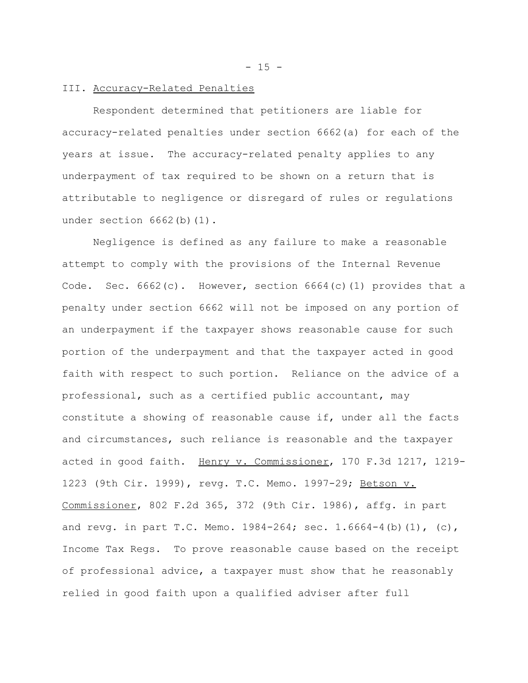$- 15 -$ 

## III. Accuracy-Related Penalties

Respondent determined that petitioners are liable for accuracy-related penalties under section 6662(a) for each of the years at issue. The accuracy-related penalty applies to any underpayment of tax required to be shown on a return that is attributable to negligence or disregard of rules or regulations under section 6662(b)(1).

Negligence is defined as any failure to make a reasonable attempt to comply with the provisions of the Internal Revenue Code. Sec.  $6662(c)$ . However, section  $6664(c)(1)$  provides that a penalty under section 6662 will not be imposed on any portion of an underpayment if the taxpayer shows reasonable cause for such portion of the underpayment and that the taxpayer acted in good faith with respect to such portion. Reliance on the advice of a professional, such as a certified public accountant, may constitute a showing of reasonable cause if, under all the facts and circumstances, such reliance is reasonable and the taxpayer acted in good faith. Henry v. Commissioner, 170 F.3d 1217, 1219- 1223 (9th Cir. 1999), revg. T.C. Memo. 1997-29; Betson v. Commissioner, 802 F.2d 365, 372 (9th Cir. 1986), affg. in part and revg. in part T.C. Memo. 1984-264; sec. 1.6664-4(b)(1), (c), Income Tax Regs. To prove reasonable cause based on the receipt of professional advice, a taxpayer must show that he reasonably relied in good faith upon a qualified adviser after full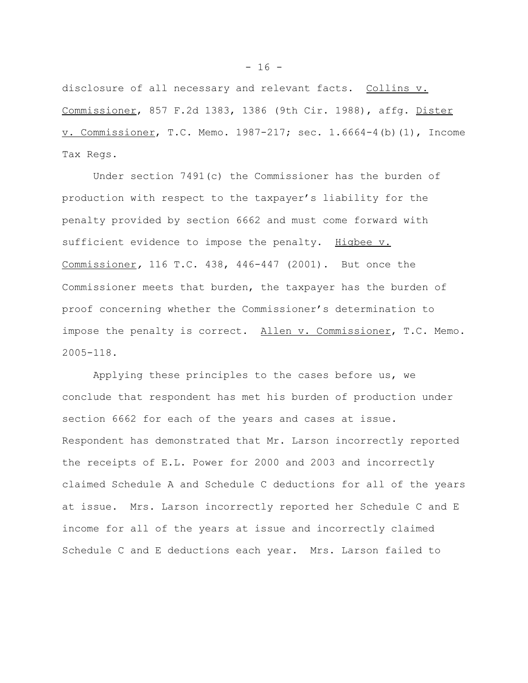disclosure of all necessary and relevant facts. Collins v. Commissioner, 857 F.2d 1383, 1386 (9th Cir. 1988), affg. Dister v. Commissioner, T.C. Memo. 1987-217; sec. 1.6664-4(b)(1), Income Tax Regs.

Under section 7491(c) the Commissioner has the burden of production with respect to the taxpayer's liability for the penalty provided by section 6662 and must come forward with sufficient evidence to impose the penalty. Higbee v. Commissioner*,* 116 T.C. 438, 446-447 (2001). But once the Commissioner meets that burden, the taxpayer has the burden of proof concerning whether the Commissioner's determination to impose the penalty is correct. Allen v. Commissioner, T.C. Memo. 2005-118.

Applying these principles to the cases before us, we conclude that respondent has met his burden of production under section 6662 for each of the years and cases at issue. Respondent has demonstrated that Mr. Larson incorrectly reported the receipts of E.L. Power for 2000 and 2003 and incorrectly claimed Schedule A and Schedule C deductions for all of the years at issue. Mrs. Larson incorrectly reported her Schedule C and E income for all of the years at issue and incorrectly claimed Schedule C and E deductions each year. Mrs. Larson failed to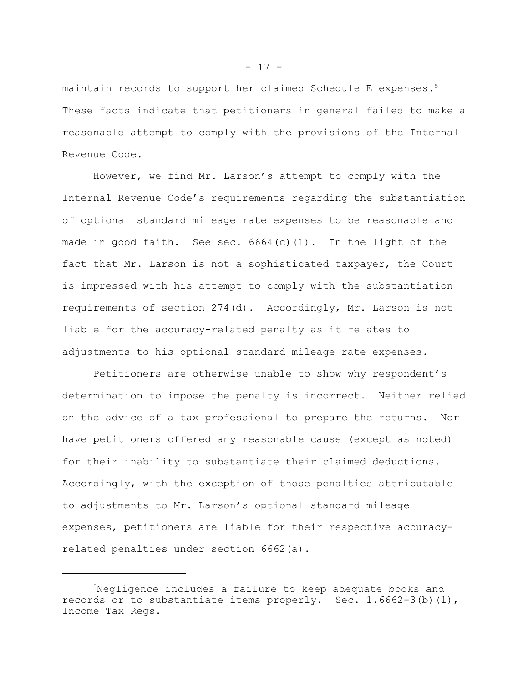maintain records to support her claimed Schedule E expenses.<sup>5</sup> These facts indicate that petitioners in general failed to make a reasonable attempt to comply with the provisions of the Internal Revenue Code.

However, we find Mr. Larson's attempt to comply with the Internal Revenue Code's requirements regarding the substantiation of optional standard mileage rate expenses to be reasonable and made in good faith. See sec. 6664(c)(1). In the light of the fact that Mr. Larson is not a sophisticated taxpayer, the Court is impressed with his attempt to comply with the substantiation requirements of section 274(d). Accordingly, Mr. Larson is not liable for the accuracy-related penalty as it relates to adjustments to his optional standard mileage rate expenses.

Petitioners are otherwise unable to show why respondent's determination to impose the penalty is incorrect. Neither relied on the advice of a tax professional to prepare the returns. Nor have petitioners offered any reasonable cause (except as noted) for their inability to substantiate their claimed deductions. Accordingly, with the exception of those penalties attributable to adjustments to Mr. Larson's optional standard mileage expenses, petitioners are liable for their respective accuracyrelated penalties under section 6662(a).

<sup>5</sup>Negligence includes a failure to keep adequate books and records or to substantiate items properly. Sec. 1.6662-3(b)(1), Income Tax Regs.